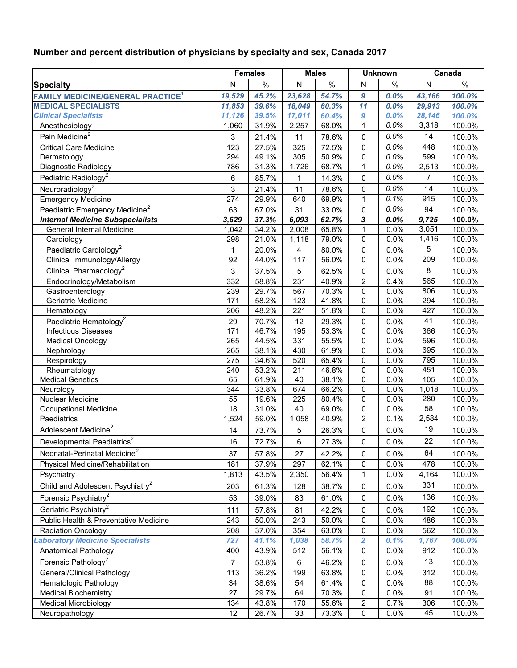## **Number and percent distribution of physicians by specialty and sex, Canada 2017**

|                                                     | <b>Females</b> |       | <b>Males</b> |                | <b>Unknown</b>      |      | Canada       |        |
|-----------------------------------------------------|----------------|-------|--------------|----------------|---------------------|------|--------------|--------|
| <b>Specialty</b>                                    | ${\sf N}$      | $\%$  | ${\sf N}$    | $\%$           | N                   | $\%$ | $\mathsf{N}$ | $\%$   |
| <b>FAMILY MEDICINE/GENERAL PRACTICE<sup>1</sup></b> | 19,529         | 45.2% | 23,628       | 54.7%          | 9                   | 0.0% | 43,166       | 100.0% |
| <b>MEDICAL SPECIALISTS</b>                          | 11,853         | 39.6% | 18,049       | 60.3%          | 11                  | 0.0% | 29,913       | 100.0% |
| <b>Clinical Specialists</b>                         | 11,126         | 39.5% | 17,011       | 60.4%          | 9                   | 0.0% | 28,146       | 100.0% |
| Anesthesiology                                      | 1,060          | 31.9% | 2,257        | 68.0%          | $\mathbf{1}$        | 0.0% | 3,318        | 100.0% |
| Pain Medicine <sup>2</sup>                          | 3              | 21.4% | 11           | 78.6%          | 0                   | 0.0% | 14           | 100.0% |
| Critical Care Medicine                              | 123            | 27.5% | 325          | 72.5%          | 0                   | 0.0% | 448          | 100.0% |
| Dermatology                                         | 294            | 49.1% | 305          | 50.9%          | 0                   | 0.0% | 599          | 100.0% |
| Diagnostic Radiology                                | 786            | 31.3% | 1,726        | 68.7%          | $\mathbf{1}$        | 0.0% | 2,513        | 100.0% |
| Pediatric Radiology <sup>2</sup>                    | 6              | 85.7% | 1            | 14.3%          | 0                   | 0.0% | 7            | 100.0% |
| Neuroradiology <sup>2</sup>                         | 3              | 21.4% | 11           | 78.6%          | 0                   | 0.0% | 14           | 100.0% |
| <b>Emergency Medicine</b>                           | 274            | 29.9% | 640          | 69.9%          | 1                   | 0.1% | 915          | 100.0% |
| Paediatric Emergency Medicine <sup>2</sup>          | 63             | 67.0% | 31           | 33.0%          | $\mathbf 0$         | 0.0% | 94           | 100.0% |
| <b>Internal Medicine Subspecialists</b>             | 3,629          | 37.3% | 6,093        | 62.7%          | 3                   | 0.0% | 9,725        | 100.0% |
| General Internal Medicine                           | 1,042          | 34.2% | 2,008        | 65.8%          | 1                   | 0.0% | 3,051        | 100.0% |
| Cardiology                                          | 298            | 21.0% | 1,118        | 79.0%          | 0                   | 0.0% | 1,416        | 100.0% |
| Paediatric Cardiology <sup>2</sup>                  | 1              | 20.0% | 4            | 80.0%          | 0                   | 0.0% | 5            | 100.0% |
| Clinical Immunology/Allergy                         | 92             | 44.0% | 117          | 56.0%          | 0                   | 0.0% | 209          | 100.0% |
| Clinical Pharmacology <sup>2</sup>                  | 3              | 37.5% | 5            | 62.5%          | 0                   | 0.0% | 8            | 100.0% |
| Endocrinology/Metabolism                            | 332            | 58.8% | 231          | 40.9%          | $\overline{2}$      | 0.4% | 565          | 100.0% |
| Gastroenterology                                    | 239            | 29.7% | 567          | 70.3%          | 0                   | 0.0% | 806          | 100.0% |
| Geriatric Medicine                                  | 171            | 58.2% | 123          | 41.8%          | 0                   | 0.0% | 294          | 100.0% |
| Hematology                                          | 206            | 48.2% | 221          | 51.8%          | 0                   | 0.0% | 427          | 100.0% |
| Paediatric Hematology <sup>2</sup>                  | 29             | 70.7% | 12           | 29.3%          | $\pmb{0}$           | 0.0% | 41           | 100.0% |
| Infectious Diseases                                 | 171            | 46.7% | 195          | 53.3%          | 0                   | 0.0% | 366          | 100.0% |
| <b>Medical Oncology</b>                             | 265            | 44.5% | 331          | 55.5%          | 0                   | 0.0% | 596          | 100.0% |
| Nephrology                                          | 265            | 38.1% | 430          | 61.9%          | 0                   | 0.0% | 695          | 100.0% |
| Respirology                                         | 275            | 34.6% | 520          | 65.4%          | 0                   | 0.0% | 795          | 100.0% |
| Rheumatology                                        | 240            | 53.2% | 211          | 46.8%          | 0                   | 0.0% | 451          | 100.0% |
| <b>Medical Genetics</b>                             | 65             | 61.9% | 40           | 38.1%          | 0                   | 0.0% | 105          | 100.0% |
| Neurology                                           | 344            | 33.8% | 674          | 66.2%          | 0                   | 0.0% | 1,018        | 100.0% |
| Nuclear Medicine                                    | 55             | 19.6% | 225          | 80.4%          | 0                   | 0.0% | 280          | 100.0% |
| <b>Occupational Medicine</b>                        | 18             | 31.0% | 40           | 69.0%<br>40.9% | 0<br>$\overline{2}$ | 0.0% | 58<br>2,584  | 100.0% |
| Paediatrics                                         | 1,524          | 59.0% | 1,058        |                |                     | 0.1% |              | 100.0% |
| Adolescent Medicine <sup>2</sup>                    | 14             | 73.7% | 5            | 26.3%          | $\pmb{0}$           | 0.0% | 19           | 100.0% |
| Developmental Paediatrics <sup>2</sup>              | 16             | 72.7% | 6            | 27.3%          | 0                   | 0.0% | 22           | 100.0% |
| Neonatal-Perinatal Medicine <sup>2</sup>            | 37             | 57.8% | 27           | 42.2%          | 0                   | 0.0% | 64           | 100.0% |
| Physical Medicine/Rehabilitation                    | 181            | 37.9% | 297          | 62.1%          | 0                   | 0.0% | 478          | 100.0% |
| Psychiatry                                          | 1,813          | 43.5% | 2,350        | 56.4%          | 1                   | 0.0% | 4,164        | 100.0% |
| Child and Adolescent Psychiatry <sup>2</sup>        | 203            | 61.3% | 128          | 38.7%          | 0                   | 0.0% | 331          | 100.0% |
| Forensic Psychiatry <sup>2</sup>                    | 53             | 39.0% | 83           | 61.0%          | 0                   | 0.0% | 136          | 100.0% |
| Geriatric Psychiatry <sup>2</sup>                   | 111            | 57.8% | 81           | 42.2%          | 0                   | 0.0% | 192          | 100.0% |
| Public Health & Preventative Medicine               | 243            | 50.0% | 243          | 50.0%          | 0                   | 0.0% | 486          | 100.0% |
| <b>Radiation Oncology</b>                           | 208            | 37.0% | 354          | 63.0%          | 0                   | 0.0% | 562          | 100.0% |
| <b>aboratory Medicine Specialists</b>               | 727            | 41.1% | 1,038        | 58.7%          | $\overline{2}$      | 0.1% | 1,767        | 100.0% |
| Anatomical Pathology                                | 400            | 43.9% | 512          | 56.1%          | 0                   | 0.0% | 912          | 100.0% |
| Forensic Pathology <sup>2</sup>                     | $\overline{7}$ | 53.8% | 6            | 46.2%          | 0                   | 0.0% | 13           | 100.0% |
| General/Clinical Pathology                          | 113            | 36.2% | 199          | 63.8%          | 0                   | 0.0% | 312          | 100.0% |
| Hematologic Pathology                               | 34             | 38.6% | 54           | 61.4%          | 0                   | 0.0% | 88           | 100.0% |
| <b>Medical Biochemistry</b>                         | 27             | 29.7% | 64           | 70.3%          | 0                   | 0.0% | 91           | 100.0% |
| <b>Medical Microbiology</b>                         | 134            | 43.8% | 170          | 55.6%          | $\overline{c}$      | 0.7% | 306          | 100.0% |
| Neuropathology                                      | 12             | 26.7% | 33           | 73.3%          | 0                   | 0.0% | 45           | 100.0% |